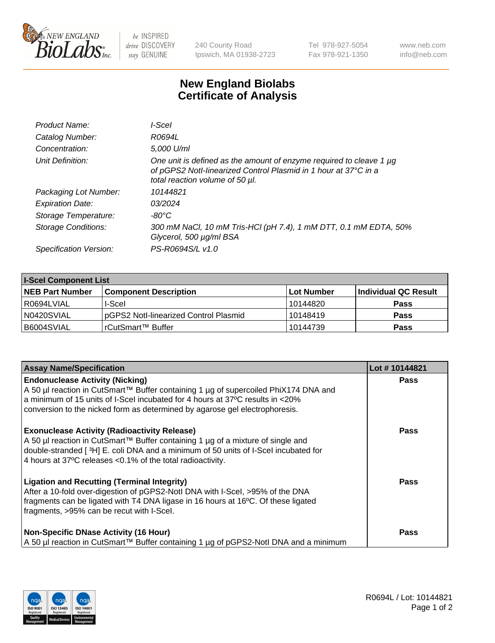

 $be$  INSPIRED drive DISCOVERY stay GENUINE

240 County Road Ipswich, MA 01938-2723 Tel 978-927-5054 Fax 978-921-1350 www.neb.com info@neb.com

## **New England Biolabs Certificate of Analysis**

| Product Name:           | l-Scel                                                                                                                                                                    |
|-------------------------|---------------------------------------------------------------------------------------------------------------------------------------------------------------------------|
| Catalog Number:         | R0694L                                                                                                                                                                    |
| Concentration:          | 5,000 U/ml                                                                                                                                                                |
| Unit Definition:        | One unit is defined as the amount of enzyme required to cleave 1 µg<br>of pGPS2 Notl-linearized Control Plasmid in 1 hour at 37°C in a<br>total reaction volume of 50 µl. |
| Packaging Lot Number:   | 10144821                                                                                                                                                                  |
| <b>Expiration Date:</b> | 03/2024                                                                                                                                                                   |
| Storage Temperature:    | -80°C                                                                                                                                                                     |
| Storage Conditions:     | 300 mM NaCl, 10 mM Tris-HCl (pH 7.4), 1 mM DTT, 0.1 mM EDTA, 50%<br>Glycerol, 500 µg/ml BSA                                                                               |
| Specification Version:  | PS-R0694S/L v1.0                                                                                                                                                          |

| <b>I-Scel Component List</b> |                                        |            |                             |  |
|------------------------------|----------------------------------------|------------|-----------------------------|--|
| <b>NEB Part Number</b>       | <b>Component Description</b>           | Lot Number | <b>Individual QC Result</b> |  |
| R0694LVIAL                   | I-Scel                                 | 10144820   | <b>Pass</b>                 |  |
| N0420SVIAL                   | IpGPS2 Notl-linearized Control Plasmid | 10148419   | <b>Pass</b>                 |  |
| B6004SVIAL                   | l rCutSmart™ Buffer_                   | 10144739   | <b>Pass</b>                 |  |

| <b>Assay Name/Specification</b>                                                                                                                                                                                                                                                               | Lot #10144821 |
|-----------------------------------------------------------------------------------------------------------------------------------------------------------------------------------------------------------------------------------------------------------------------------------------------|---------------|
| <b>Endonuclease Activity (Nicking)</b><br>A 50 µl reaction in CutSmart™ Buffer containing 1 µg of supercoiled PhiX174 DNA and<br>a minimum of 15 units of I-Scel incubated for 4 hours at 37°C results in <20%<br>conversion to the nicked form as determined by agarose gel electrophoresis. | <b>Pass</b>   |
| <b>Exonuclease Activity (Radioactivity Release)</b><br>A 50 µl reaction in CutSmart™ Buffer containing 1 µg of a mixture of single and<br>double-stranded [3H] E. coli DNA and a minimum of 50 units of I-Scel incubated for<br>4 hours at 37°C releases < 0.1% of the total radioactivity.   | <b>Pass</b>   |
| <b>Ligation and Recutting (Terminal Integrity)</b><br>After a 10-fold over-digestion of pGPS2-Notl DNA with I-Scel, >95% of the DNA<br>fragments can be ligated with T4 DNA ligase in 16 hours at 16°C. Of these ligated<br>fragments, >95% can be recut with I-Scel.                         | <b>Pass</b>   |
| <b>Non-Specific DNase Activity (16 Hour)</b><br>  A 50 µl reaction in CutSmart™ Buffer containing 1 µg of pGPS2-NotI DNA and a minimum                                                                                                                                                        | <b>Pass</b>   |